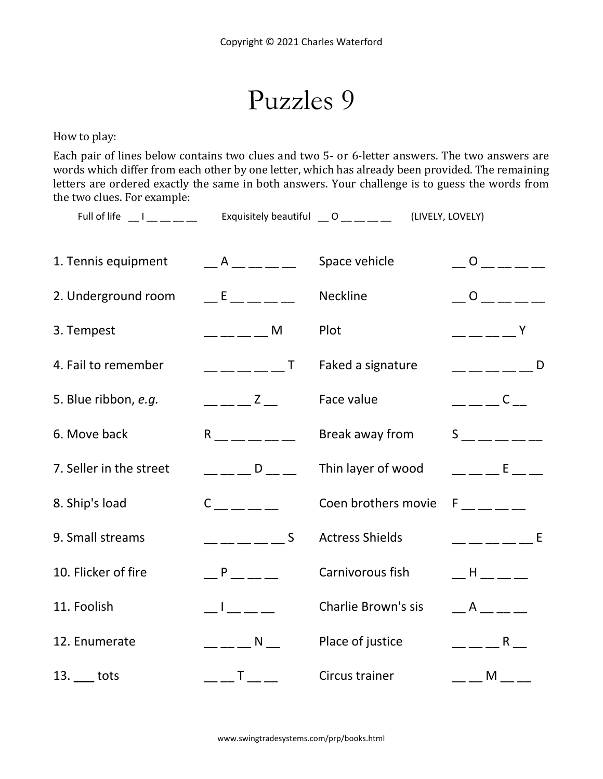Puzzles 9

How to play:

Each pair of lines below contains two clues and two 5- or 6-letter answers. The two answers are words which differ from each other by one letter, which has already been provided. The remaining letters are ordered exactly the same in both answers. Your challenge is to guess the words from the two clues. For example:

Full of life  $\Box$  I  $\Box$   $\Box$   $\Box$  Exquisitely beautiful  $\Box$  O  $\Box$   $\Box$   $\Box$  (LIVELY, LOVELY)

| 1. Tennis equipment     | $A$ _ _ _ _                                                                                                                                                                                                                                                                                                                                                                                                                                                                     | Space vehicle              | $\overline{O}$           |
|-------------------------|---------------------------------------------------------------------------------------------------------------------------------------------------------------------------------------------------------------------------------------------------------------------------------------------------------------------------------------------------------------------------------------------------------------------------------------------------------------------------------|----------------------------|--------------------------|
| 2. Underground room     | $E = 1.5$                                                                                                                                                                                                                                                                                                                                                                                                                                                                       | Neckline                   | $\overline{O}$           |
| 3. Tempest              | $-- ---$ M                                                                                                                                                                                                                                                                                                                                                                                                                                                                      | Plot                       | $   +$ $Y$               |
| 4. Fail to remember     | $------T$                                                                                                                                                                                                                                                                                                                                                                                                                                                                       | Faked a signature          | $----- -$                |
| 5. Blue ribbon, e.g.    | $---Z$                                                                                                                                                                                                                                                                                                                                                                                                                                                                          | Face value                 | $---C$                   |
| 6. Move back            | $R \sim 1$                                                                                                                                                                                                                                                                                                                                                                                                                                                                      | Break away from            | $S \sim$                 |
| 7. Seller in the street | $\overline{\phantom{a}}$ D                                                                                                                                                                                                                                                                                                                                                                                                                                                      | Thin layer of wood         | <b>Example 19</b>        |
| 8. Ship's load          | $C \qquad \qquad \qquad$                                                                                                                                                                                                                                                                                                                                                                                                                                                        | Coen brothers movie        | $F$ <sub>______</sub> __ |
| 9. Small streams        | $\overline{\phantom{a}}$ $\overline{\phantom{a}}$ $\overline{\phantom{a}}$ $\overline{\phantom{a}}$ $\overline{\phantom{a}}$ $\overline{\phantom{a}}$ $\overline{\phantom{a}}$ $\overline{\phantom{a}}$ $\overline{\phantom{a}}$ $\overline{\phantom{a}}$ $\overline{\phantom{a}}$ $\overline{\phantom{a}}$ $\overline{\phantom{a}}$ $\overline{\phantom{a}}$ $\overline{\phantom{a}}$ $\overline{\phantom{a}}$ $\overline{\phantom{a}}$ $\overline{\phantom{a}}$ $\overline{\$ | <b>Actress Shields</b>     | $------^E$               |
| 10. Flicker of fire     | <b>P</b>                                                                                                                                                                                                                                                                                                                                                                                                                                                                        | Carnivorous fish           | $-H$ $\_\_$              |
| 11. Foolish             | $\pm 1$ , $\pm$ , $\pm$                                                                                                                                                                                                                                                                                                                                                                                                                                                         | <b>Charlie Brown's sis</b> | $\overline{A}$           |
| 12. Enumerate           | $\mathbb{R}$ $\mathbb{R}$ $\mathbb{R}$ $\mathbb{R}$ $\mathbb{R}$ $\mathbb{R}$ $\mathbb{R}$ $\mathbb{R}$ $\mathbb{R}$ $\mathbb{R}$ $\mathbb{R}$ $\mathbb{R}$ $\mathbb{R}$ $\mathbb{R}$ $\mathbb{R}$ $\mathbb{R}$ $\mathbb{R}$ $\mathbb{R}$ $\mathbb{R}$ $\mathbb{R}$ $\mathbb{R}$ $\mathbb{R}$ $\mathbb{R}$ $\mathbb{R}$ $\mathbb{$                                                                                                                                              | Place of justice           | $R_{\rm max}$            |
| $13.$ ____ tots         | $-- T$ $---$                                                                                                                                                                                                                                                                                                                                                                                                                                                                    | Circus trainer             | $- - M -$                |
|                         |                                                                                                                                                                                                                                                                                                                                                                                                                                                                                 |                            |                          |